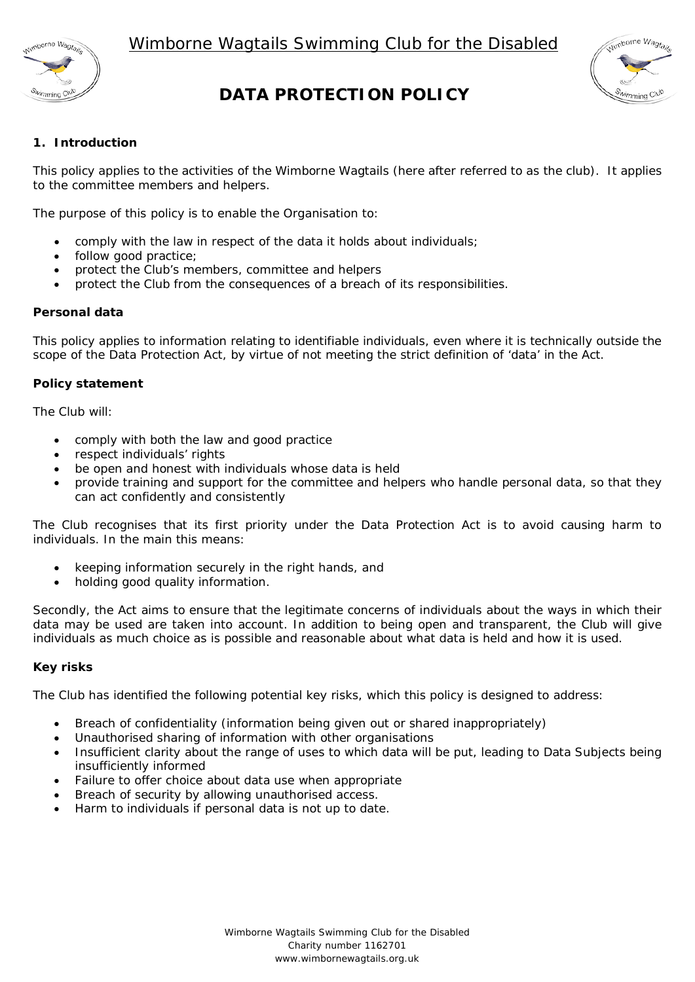

# **DATA PROTECTION POLICY**



# **1. Introduction**

This policy applies to the activities of the Wimborne Wagtails (here after referred to as the club). It applies to the committee members and helpers.

The purpose of this policy is to enable the Organisation to:

- comply with the law in respect of the data it holds about individuals;
- follow good practice:
- protect the Club's members, committee and helpers
- protect the Club from the consequences of a breach of its responsibilities.

## **Personal data**

This policy applies to information relating to identifiable individuals, even where it is technically outside the scope of the Data Protection Act, by virtue of not meeting the strict definition of 'data' in the Act.

## **Policy statement**

The Club will:

- comply with both the law and good practice
- respect individuals' rights
- be open and honest with individuals whose data is held
- provide training and support for the committee and helpers who handle personal data, so that they can act confidently and consistently

The Club recognises that its first priority under the Data Protection Act is to avoid causing harm to individuals. In the main this means:

- keeping information securely in the right hands, and
- holding good quality information.

Secondly, the Act aims to ensure that the legitimate concerns of individuals about the ways in which their data may be used are taken into account. In addition to being open and transparent, the Club will give individuals as much choice as is possible and reasonable about what data is held and how it is used.

#### **Key risks**

The Club has identified the following potential key risks, which this policy is designed to address:

- Breach of confidentiality (information being given out or shared inappropriately)
- Unauthorised sharing of information with other organisations
- Insufficient clarity about the range of uses to which data will be put, leading to Data Subjects being insufficiently informed
- Failure to offer choice about data use when appropriate
- Breach of security by allowing unauthorised access.
- Harm to individuals if personal data is not up to date.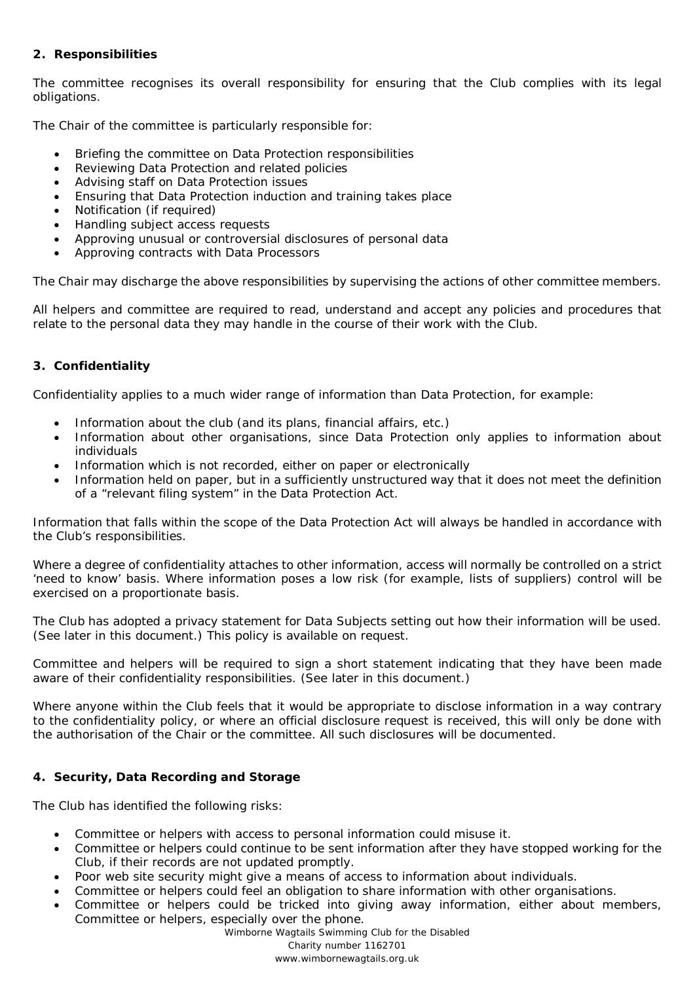# **2. Responsibilities**

The committee recognises its overall responsibility for ensuring that the Club complies with its legal obligations.

The Chair of the committee is particularly responsible for:

- Briefing the committee on Data Protection responsibilities
- Reviewing Data Protection and related policies
- Advising staff on Data Protection issues
- Ensuring that Data Protection induction and training takes place
- Notification (if required)
- Handling subject access requests
- Approving unusual or controversial disclosures of personal data
- Approving contracts with Data Processors

The Chair may discharge the above responsibilities by supervising the actions of other committee members.

All helpers and committee are required to read, understand and accept any policies and procedures that relate to the personal data they may handle in the course of their work with the Club.

## **3. Confidentiality**

Confidentiality applies to a much wider range of information than Data Protection, for example:

- Information about the club (and its plans, financial affairs, etc.)
- Information about other organisations, since Data Protection only applies to information about individuals
- Information which is not recorded, either on paper or electronically
- Information held on paper, but in a sufficiently unstructured way that it does not meet the definition of a "relevant filing system" in the Data Protection Act.

Information that falls within the scope of the Data Protection Act will always be handled in accordance with the Club's responsibilities.

Where a degree of confidentiality attaches to other information, access will normally be controlled on a strict 'need to know' basis. Where information poses a low risk (for example, lists of suppliers) control will be exercised on a proportionate basis.

The Club has adopted a privacy statement for Data Subjects setting out how their information will be used. *(See later in this document.)* This policy is available on request.

Committee and helpers will be required to sign a short statement indicating that they have been made aware of their confidentiality responsibilities. *(See later in this document.)*

Where anyone within the Club feels that it would be appropriate to disclose information in a way contrary to the confidentiality policy, or where an official disclosure request is received, this will only be done with the authorisation of the Chair or the committee. All such disclosures will be documented.

## **4. Security, Data Recording and Storage**

The Club has identified the following risks:

- Committee or helpers with access to personal information could misuse it.
- Committee or helpers could continue to be sent information after they have stopped working for the Club, if their records are not updated promptly.
- Poor web site security might give a means of access to information about individuals.
- Committee or helpers could feel an obligation to share information with other organisations.
- Committee or helpers could be tricked into giving away information, either about members, Committee or helpers, especially over the phone.

Wimborne Wagtails Swimming Club for the Disabled Charity number 1162701 www.wimbornewagtails.org.uk